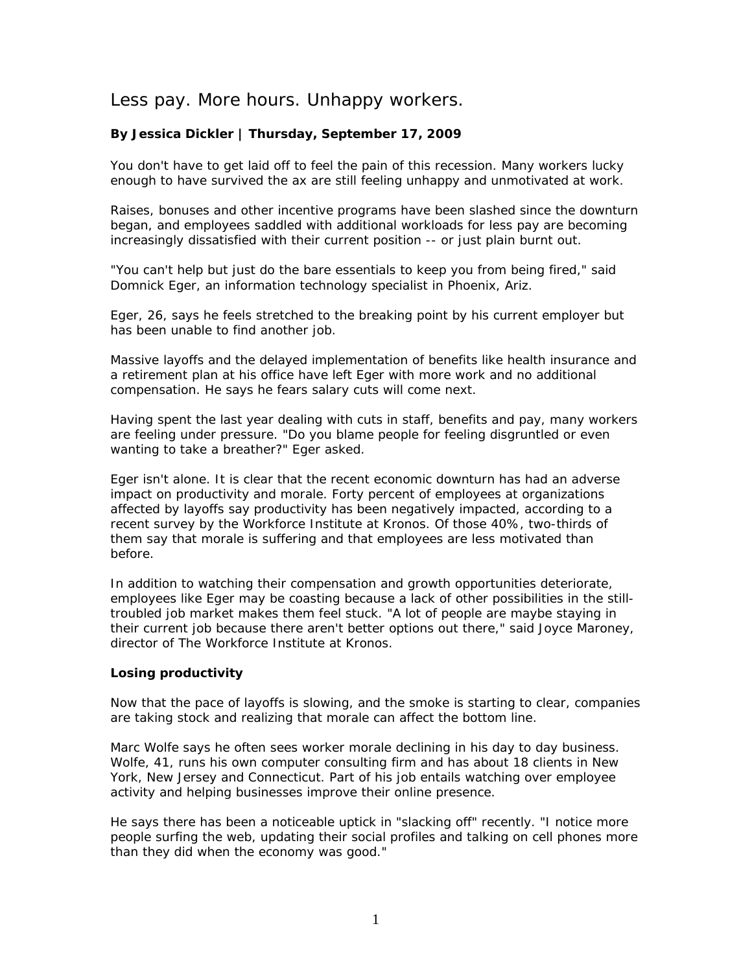## Less pay. More hours. Unhappy workers.

## **By Jessica Dickler | Thursday, September 17, 2009**

You don't have to get laid off to feel the pain of this recession. Many workers lucky enough to have survived the ax are still feeling unhappy and unmotivated at work.

Raises, bonuses and other incentive programs have been slashed since the downturn began, and employees saddled with additional workloads for less pay are becoming increasingly dissatisfied with their current position -- or just plain burnt out.

"You can't help but just do the bare essentials to keep you from being fired," said Domnick Eger, an information technology specialist in Phoenix, Ariz.

Eger, 26, says he feels stretched to the breaking point by his current employer but has been unable to find another job.

Massive layoffs and the delayed implementation of benefits like health insurance and a retirement plan at his office have left Eger with more work and no additional compensation. He says he fears salary cuts will come next.

Having spent the last year dealing with cuts in staff, benefits and pay, many workers are feeling under pressure. "Do you blame people for feeling disgruntled or even wanting to take a breather?" Eger asked.

Eger isn't alone. It is clear that the recent economic downturn has had an adverse impact on productivity and morale. Forty percent of employees at organizations affected by layoffs say productivity has been negatively impacted, according to a recent survey by the Workforce Institute at Kronos. Of those 40%, two-thirds of them say that morale is suffering and that employees are less motivated than before.

In addition to watching their compensation and growth opportunities deteriorate, employees like Eger may be coasting because a lack of other possibilities in the stilltroubled job market makes them feel stuck. "A lot of people are maybe staying in their current job because there aren't better options out there," said Joyce Maroney, director of The Workforce Institute at Kronos.

## **Losing productivity**

Now that the pace of layoffs is slowing, and the smoke is starting to clear, companies are taking stock and realizing that morale can affect the bottom line.

Marc Wolfe says he often sees worker morale declining in his day to day business. Wolfe, 41, runs his own computer consulting firm and has about 18 clients in New York, New Jersey and Connecticut. Part of his job entails watching over employee activity and helping businesses improve their online presence.

He says there has been a noticeable uptick in "slacking off" recently. "I notice more people surfing the web, updating their social profiles and talking on cell phones more than they did when the economy was good."